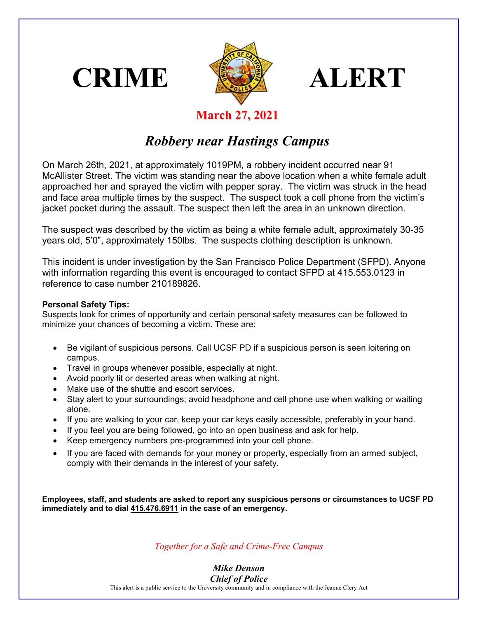





## **March 27, 2021**

## *Robbery near Hastings Campus*

On March 26th, 2021, at approximately 1019PM, a robbery incident occurred near 91 McAllister Street. The victim was standing near the above location when a white female adult approached her and sprayed the victim with pepper spray. The victim was struck in the head and face area multiple times by the suspect. The suspect took a cell phone from the victim's jacket pocket during the assault. The suspect then left the area in an unknown direction.

The suspect was described by the victim as being a white female adult, approximately 30-35 years old, 5'0", approximately 150lbs. The suspects clothing description is unknown.

This incident is under investigation by the San Francisco Police Department (SFPD). Anyone with information regarding this event is encouraged to contact SFPD at 415.553.0123 in reference to case number 210189826.

## **Personal Safety Tips:**

Suspects look for crimes of opportunity and certain personal safety measures can be followed to minimize your chances of becoming a victim. These are:

- Be vigilant of suspicious persons. Call UCSF PD if a suspicious person is seen loitering on campus.
- Travel in groups whenever possible, especially at night.
- Avoid poorly lit or deserted areas when walking at night.
- Make use of the shuttle and escort services.
- Stay alert to your surroundings; avoid headphone and cell phone use when walking or waiting alone.
- If you are walking to your car, keep your car keys easily accessible, preferably in your hand.
- If you feel you are being followed, go into an open business and ask for help.
- Keep emergency numbers pre-programmed into your cell phone.
- If you are faced with demands for your money or property, especially from an armed subject, comply with their demands in the interest of your safety.

**Employees, staff, and students are asked to report any suspicious persons or circumstances to UCSF PD immediately and to dial 415.476.6911 in the case of an emergency.** 

*Together for a Safe and Crime-Free Campus*

*Mike Denson Chief of Police*

This alert is a public service to the University community and in compliance with the Jeanne Clery Act